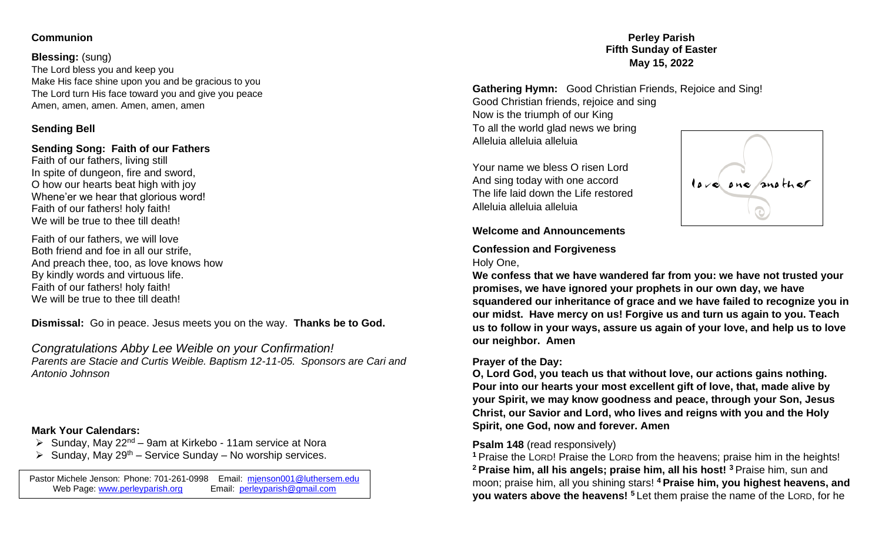## **Communion**

## **Blessing:** (sung)

The Lord bless you and keep you Make His face shine upon you and be gracious to you The Lord turn His face toward you and give you peace Amen, amen, amen. Amen, amen, amen

# **Sending Bell**

## **Sending Song: Faith of our Fathers**

Faith of our fathers, living still In spite of dungeon, fire and sword, O how our hearts beat high with joy Whene'er we hear that glorious word! Faith of our fathers! holy faith! We will be true to thee till death!

Faith of our fathers, we will love Both friend and foe in all our strife, And preach thee, too, as love knows how By kindly words and virtuous life. Faith of our fathers! holy faith! We will be true to thee till death!

**Dismissal:** Go in peace. Jesus meets you on the way. **Thanks be to God.** 

*Congratulations Abby Lee Weible on your Confirmation! Parents are Stacie and Curtis Weible. Baptism 12-11-05. Sponsors are Cari and Antonio Johnson*

## **Mark Your Calendars:**

- $\triangleright$  Sunday, May 22<sup>nd</sup> 9am at Kirkebo 11am service at Nora
- $\triangleright$  Sunday, May 29<sup>th</sup> Service Sunday No worship services.

Pastor Michele Jenson: Phone: 701-261-0998 Email: michologie Cuthersem.edu<br>Web Page: www.perleyparish.org Email: perleyparish@gmail.com Web Page: www.perleyparish.org

## **Perley Parish Fifth Sunday of Easter May 15, 2022**

**Gathering Hymn:** Good Christian Friends, Rejoice and Sing! Good Christian friends, rejoice and sing Now is the triumph of our King To all the world glad news we bring Alleluia alleluia alleluia

Your name we bless O risen Lord And sing today with one accord The life laid down the Life restored Alleluia alleluia alleluia



## **Welcome and Announcements**

## **Confession and Forgiveness** Holy One,

**We confess that we have wandered far from you: we have not trusted your promises, we have ignored your prophets in our own day, we have squandered our inheritance of grace and we have failed to recognize you in our midst. Have mercy on us! Forgive us and turn us again to you. Teach us to follow in your ways, assure us again of your love, and help us to love our neighbor. Amen**

# **Prayer of the Day:**

**O, Lord God, you teach us that without love, our actions gains nothing. Pour into our hearts your most excellent gift of love, that, made alive by your Spirit, we may know goodness and peace, through your Son, Jesus Christ, our Savior and Lord, who lives and reigns with you and the Holy Spirit, one God, now and forever. Amen**

# **Psalm 148** (read responsively)

**<sup>1</sup>** Praise the LORD! Praise the LORD from the heavens; praise him in the heights! **<sup>2</sup> Praise him, all his angels; praise him, all his host! <sup>3</sup>** Praise him, sun and moon; praise him, all you shining stars! **<sup>4</sup> Praise him, you highest heavens, and you waters above the heavens!** <sup>5</sup> Let them praise the name of the LORD, for he